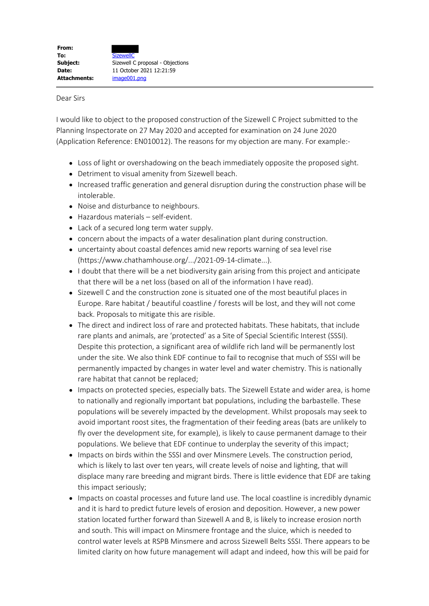## Dear Sirs

I would like to object to the proposed construction of the Sizewell C Project submitted to the Planning Inspectorate on 27 May 2020 and accepted for examination on 24 June 2020 (Application Reference: EN010012). The reasons for my objection are many. For example:-

- Loss of light or overshadowing on the beach immediately opposite the proposed sight.
- Detriment to visual amenity from Sizewell beach.
- Increased traffic generation and general disruption during the construction phase will be intolerable.
- Noise and disturbance to neighbours.
- Hazardous materials self-evident.
- Lack of a secured long term water supply.
- concern about the impacts of a water desalination plant during construction.
- uncertainty about coastal defences amid new reports warning of sea level rise (https://www.chathamhouse.org/.../2021-09-14-climate...).
- I doubt that there will be a net biodiversity gain arising from this project and anticipate that there will be a net loss (based on all of the information I have read).
- Sizewell C and the construction zone is situated one of the most beautiful places in Europe. Rare habitat / beautiful coastline / forests will be lost, and they will not come back. Proposals to mitigate this are risible.
- The direct and indirect loss of rare and protected habitats. These habitats, that include rare plants and animals, are 'protected' as a Site of Special Scientific Interest (SSSI). Despite this protection, a significant area of wildlife rich land will be permanently lost under the site. We also think EDF continue to fail to recognise that much of SSSI will be permanently impacted by changes in water level and water chemistry. This is nationally rare habitat that cannot be replaced;
- Impacts on protected species, especially bats. The Sizewell Estate and wider area, is home to nationally and regionally important bat populations, including the barbastelle. These populations will be severely impacted by the development. Whilst proposals may seek to avoid important roost sites, the fragmentation of their feeding areas (bats are unlikely to fly over the development site, for example), is likely to cause permanent damage to their populations. We believe that EDF continue to underplay the severity of this impact;
- Impacts on birds within the SSSI and over Minsmere Levels. The construction period, which is likely to last over ten years, will create levels of noise and lighting, that will displace many rare breeding and migrant birds. There is little evidence that EDF are taking this impact seriously;
- Impacts on coastal processes and future land use. The local coastline is incredibly dynamic and it is hard to predict future levels of erosion and deposition. However, a new power station located further forward than Sizewell A and B, is likely to increase erosion north and south. This will impact on Minsmere frontage and the sluice, which is needed to control water levels at RSPB Minsmere and across Sizewell Belts SSSI. There appears to be limited clarity on how future management will adapt and indeed, how this will be paid for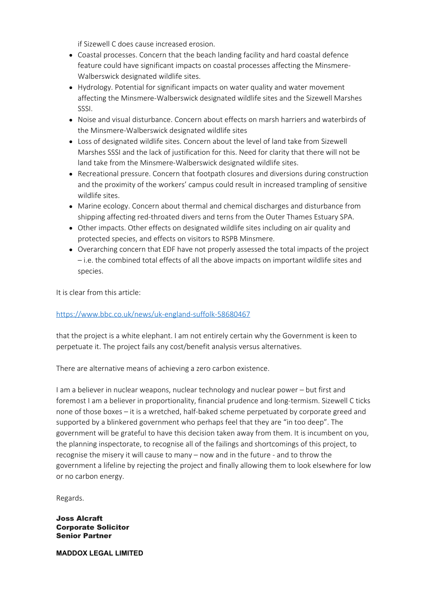if Sizewell C does cause increased erosion.

- Coastal processes. Concern that the beach landing facility and hard coastal defence feature could have significant impacts on coastal processes affecting the Minsmere-Walberswick designated wildlife sites.
- Hydrology. Potential for significant impacts on water quality and water movement affecting the Minsmere-Walberswick designated wildlife sites and the Sizewell Marshes SSSI.
- Noise and visual disturbance. Concern about effects on marsh harriers and waterbirds of the Minsmere-Walberswick designated wildlife sites
- Loss of designated wildlife sites. Concern about the level of land take from Sizewell Marshes SSSI and the lack of justification for this. Need for clarity that there will not be land take from the Minsmere-Walberswick designated wildlife sites.
- Recreational pressure. Concern that footpath closures and diversions during construction and the proximity of the workers' campus could result in increased trampling of sensitive wildlife sites.
- Marine ecology. Concern about thermal and chemical discharges and disturbance from shipping affecting red-throated divers and terns from the Outer Thames Estuary SPA.
- Other impacts. Other effects on designated wildlife sites including on air quality and protected species, and effects on visitors to RSPB Minsmere.
- Overarching concern that EDF have not properly assessed the total impacts of the project – i.e. the combined total effects of all the above impacts on important wildlife sites and species.

It is clear from this article:

## https://www.bbc.co.uk/news/uk-england-suffolk-58680467

that the project is a white elephant. I am not entirely certain why the Government is keen to perpetuate it. The project fails any cost/benefit analysis versus alternatives.

There are alternative means of achieving a zero carbon existence.

I am a believer in nuclear weapons, nuclear technology and nuclear power – but first and foremost I am a believer in proportionality, financial prudence and long-termism. Sizewell C ticks none of those boxes – it is a wretched, half-baked scheme perpetuated by corporate greed and supported by a blinkered government who perhaps feel that they are "in too deep". The government will be grateful to have this decision taken away from them. It is incumbent on you, the planning inspectorate, to recognise all of the failings and shortcomings of this project, to recognise the misery it will cause to many – now and in the future - and to throw the government a lifeline by rejecting the project and finally allowing them to look elsewhere for low or no carbon energy.

Regards.

Joss Alcraft Corporate Solicitor Senior Partner

**MADDOX LEGAL LIMITED**